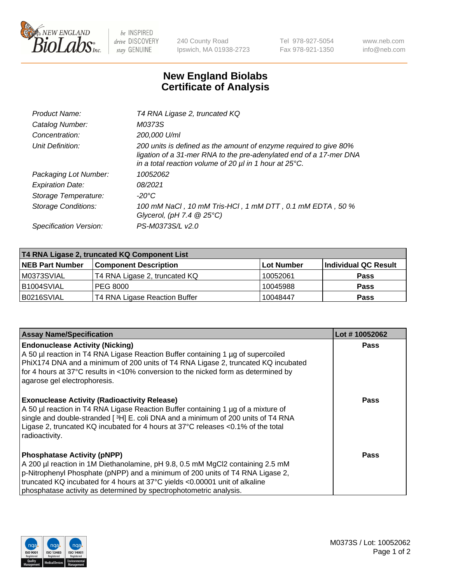

 $be$  INSPIRED drive DISCOVERY stay GENUINE

240 County Road Ipswich, MA 01938-2723 Tel 978-927-5054 Fax 978-921-1350 www.neb.com info@neb.com

## **New England Biolabs Certificate of Analysis**

| Product Name:              | T4 RNA Ligase 2, truncated KQ                                                                                                                                                                                    |
|----------------------------|------------------------------------------------------------------------------------------------------------------------------------------------------------------------------------------------------------------|
| Catalog Number:            | M0373S                                                                                                                                                                                                           |
| Concentration:             | 200,000 U/ml                                                                                                                                                                                                     |
| Unit Definition:           | 200 units is defined as the amount of enzyme required to give 80%<br>ligation of a 31-mer RNA to the pre-adenylated end of a 17-mer DNA<br>in a total reaction volume of 20 $\mu$ l in 1 hour at 25 $\degree$ C. |
| Packaging Lot Number:      | 10052062                                                                                                                                                                                                         |
| <b>Expiration Date:</b>    | 08/2021                                                                                                                                                                                                          |
| Storage Temperature:       | -20°C                                                                                                                                                                                                            |
| <b>Storage Conditions:</b> | 100 mM NaCl, 10 mM Tris-HCl, 1 mM DTT, 0.1 mM EDTA, 50 %<br>Glycerol, (pH 7.4 $@25°C$ )                                                                                                                          |
| Specification Version:     | PS-M0373S/L v2.0                                                                                                                                                                                                 |

| T4 RNA Ligase 2, truncated KQ Component List |                               |                   |                      |  |
|----------------------------------------------|-------------------------------|-------------------|----------------------|--|
| <b>NEB Part Number</b>                       | <b>Component Description</b>  | <b>Lot Number</b> | Individual QC Result |  |
| M0373SVIAL                                   | T4 RNA Ligase 2, truncated KQ | 10052061          | <b>Pass</b>          |  |
| B1004SVIAL                                   | <b>PEG 8000</b>               | 10045988          | <b>Pass</b>          |  |
| B0216SVIAL                                   | T4 RNA Ligase Reaction Buffer | 10048447          | <b>Pass</b>          |  |

| <b>Assay Name/Specification</b>                                                                                                                                                                                                                                                                                                                            | Lot #10052062 |
|------------------------------------------------------------------------------------------------------------------------------------------------------------------------------------------------------------------------------------------------------------------------------------------------------------------------------------------------------------|---------------|
| <b>Endonuclease Activity (Nicking)</b><br>A 50 µl reaction in T4 RNA Ligase Reaction Buffer containing 1 µg of supercoiled<br>PhiX174 DNA and a minimum of 200 units of T4 RNA Ligase 2, truncated KQ incubated<br>for 4 hours at 37°C results in <10% conversion to the nicked form as determined by<br>agarose gel electrophoresis.                      | <b>Pass</b>   |
| <b>Exonuclease Activity (Radioactivity Release)</b><br>A 50 µl reaction in T4 RNA Ligase Reaction Buffer containing 1 µg of a mixture of<br>single and double-stranded [3H] E. coli DNA and a minimum of 200 units of T4 RNA<br>Ligase 2, truncated KQ incubated for 4 hours at 37°C releases <0.1% of the total<br>radioactivity.                         | <b>Pass</b>   |
| <b>Phosphatase Activity (pNPP)</b><br>A 200 µl reaction in 1M Diethanolamine, pH 9.8, 0.5 mM MgCl2 containing 2.5 mM<br>p-Nitrophenyl Phosphate (pNPP) and a minimum of 200 units of T4 RNA Ligase 2,<br>truncated KQ incubated for 4 hours at 37°C yields <0.00001 unit of alkaline<br>phosphatase activity as determined by spectrophotometric analysis. | Pass          |